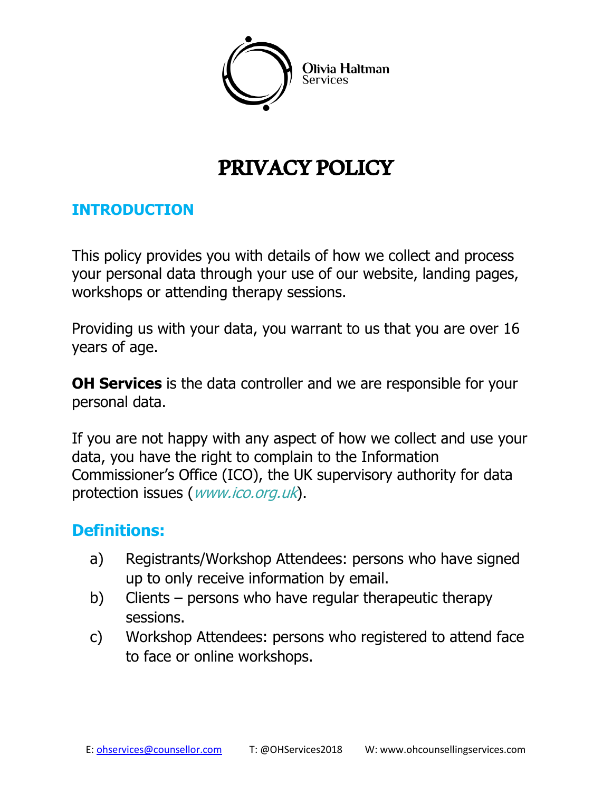

# PRIVACY POLICY

#### **INTRODUCTION**

This policy provides you with details of how we collect and process your personal data through your use of our website, landing pages, workshops or attending therapy sessions.

Providing us with your data, you warrant to us that you are over 16 years of age.

**OH Services** is the data controller and we are responsible for your personal data.

If you are not happy with any aspect of how we collect and use your data, you have the right to complain to the Information Commissioner's Office (ICO), the UK supervisory authority for data protection issues (*[www.ico.org.uk](http://www.ico.org.uk/)*).

### **Definitions:**

- a) Registrants/Workshop Attendees: persons who have signed up to only receive information by email.
- b) Clients persons who have regular therapeutic therapy sessions.
- c) Workshop Attendees: persons who registered to attend face to face or online workshops.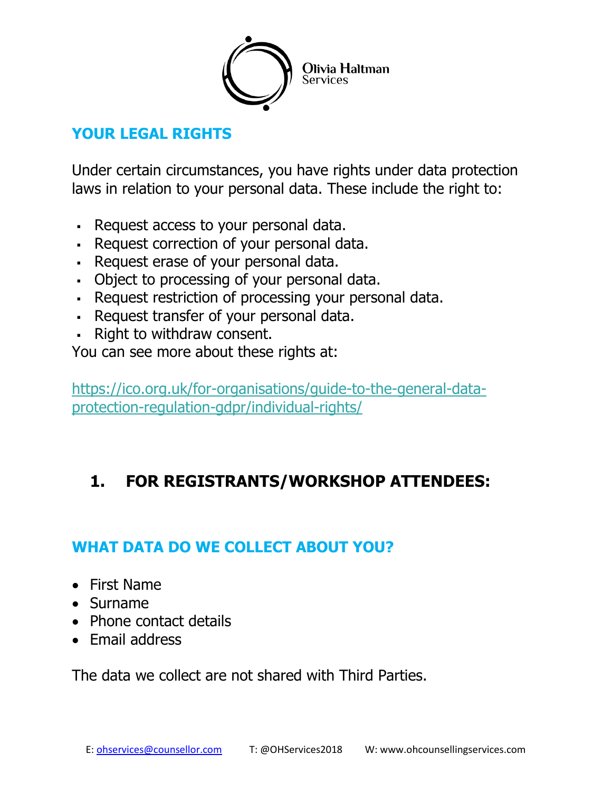

## **YOUR LEGAL RIGHTS**

Under certain circumstances, you have rights under data protection laws in relation to your personal data. These include the right to:

- Request access to your personal data.
- Request correction of your personal data.
- Request erase of your personal data.
- Object to processing of your personal data.
- Request restriction of processing your personal data.
- Request transfer of your personal data.
- Right to withdraw consent.

You can see more about these rights at:

[https://ico.org.uk/for-organisations/guide-to-the-general-data](https://ico.org.uk/for-organisations/guide-to-the-general-data-protection-regulation-gdpr/individual-rights/)[protection-regulation-gdpr/individual-rights/](https://ico.org.uk/for-organisations/guide-to-the-general-data-protection-regulation-gdpr/individual-rights/)

# **1. FOR REGISTRANTS/WORKSHOP ATTENDEES:**

# **WHAT DATA DO WE COLLECT ABOUT YOU?**

- First Name
- Surname
- Phone contact details
- Email address

The data we collect are not shared with Third Parties.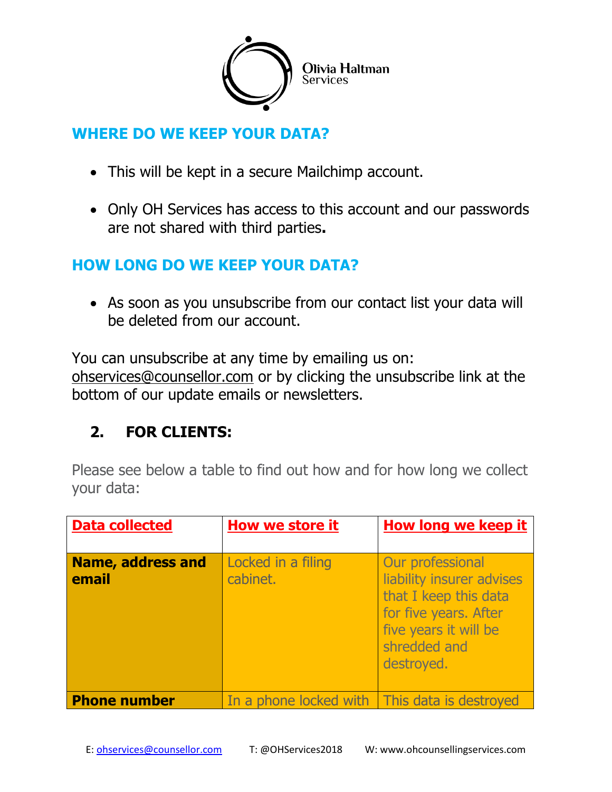

### **WHERE DO WE KEEP YOUR DATA?**

- This will be kept in a secure Mailchimp account.
- Only OH Services has access to this account and our passwords are not shared with third parties**.**

### **HOW LONG DO WE KEEP YOUR DATA?**

 As soon as you unsubscribe from our contact list your data will be deleted from our account.

You can unsubscribe at any time by emailing us on: [ohservices@counsellor.com](mailto:ohservices@counsellor.com) or by clicking the unsubscribe link at the bottom of our update emails or newsletters.

# **2. FOR CLIENTS:**

Please see below a table to find out how and for how long we collect your data:

| <b>Data collected</b>             | <b>How we store it</b>                          | <b>How long we keep it</b>                                                                                                                             |
|-----------------------------------|-------------------------------------------------|--------------------------------------------------------------------------------------------------------------------------------------------------------|
| <b>Name, address and</b><br>email | Locked in a filing<br>cabinet.                  | Our professional<br>liability insurer advises<br>that I keep this data<br>for five years. After<br>five years it will be<br>shredded and<br>destroyed. |
| <b>Phone number</b>               | In a phone locked with   This data is destroyed |                                                                                                                                                        |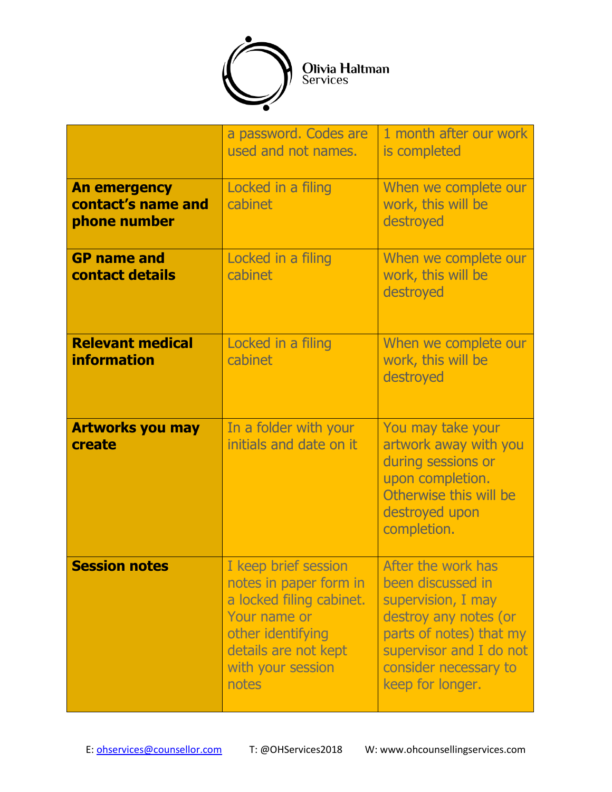

|                                                           | a password. Codes are<br>used and not names.                                                                                                                          | 1 month after our work<br>is completed                                                                                                                                                    |
|-----------------------------------------------------------|-----------------------------------------------------------------------------------------------------------------------------------------------------------------------|-------------------------------------------------------------------------------------------------------------------------------------------------------------------------------------------|
| <b>An emergency</b><br>contact's name and<br>phone number | Locked in a filing<br>cabinet                                                                                                                                         | When we complete our<br>work, this will be<br>destroyed                                                                                                                                   |
| <b>GP</b> name and<br>contact details                     | Locked in a filing<br>cabinet                                                                                                                                         | When we complete our<br>work, this will be<br>destroyed                                                                                                                                   |
| <b>Relevant medical</b><br><b>information</b>             | Locked in a filing<br>cabinet                                                                                                                                         | When we complete our<br>work, this will be<br>destroyed                                                                                                                                   |
| <b>Artworks you may</b><br>create                         | In a folder with your<br>initials and date on it                                                                                                                      | You may take your<br>artwork away with you<br>during sessions or<br>upon completion.<br>Otherwise this will be<br>destroyed upon<br>completion.                                           |
| <b>Session notes</b>                                      | I keep brief session<br>notes in paper form in<br>a locked filing cabinet.<br>Your name or<br>other identifying<br>details are not kept<br>with your session<br>notes | After the work has<br>been discussed in<br>supervision, I may<br>destroy any notes (or<br>parts of notes) that my<br>supervisor and I do not<br>consider necessary to<br>keep for longer. |